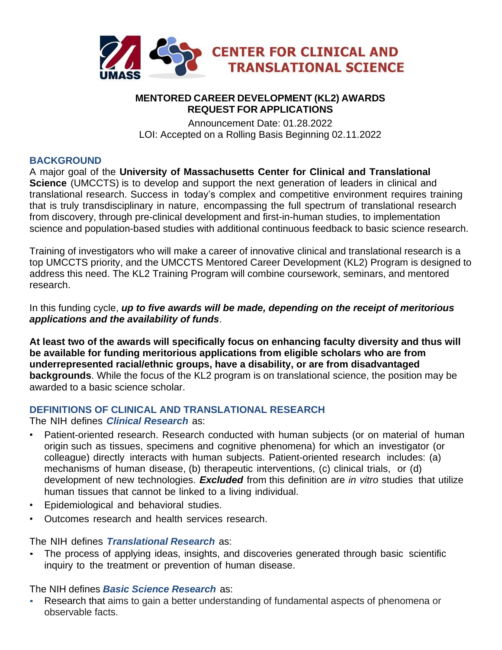

### **MENTORED CAREER DEVELOPMENT (KL2) AWARDS REQUEST FOR APPLICATIONS**

Announcement Date: 01.28.2022 LOI: Accepted on a Rolling Basis Beginning 02.11.2022

### **BACKGROUND**

A major goal of the **University of Massachusetts Center for Clinical and Translational Science** (UMCCTS) is to develop and support the next generation of leaders in clinical and translational research. Success in today's complex and competitive environment requires training that is truly transdisciplinary in nature, encompassing the full spectrum of translational research from discovery, through pre-clinical development and first-in-human studies, to implementation science and population-based studies with additional continuous feedback to basic science research.

Training of investigators who will make a career of innovative clinical and translational research is a top UMCCTS priority, and the UMCCTS Mentored Career Development (KL2) Program is designed to address this need. The KL2 Training Program will combine coursework, seminars, and mentored research.

In this funding cycle, *up to five awards will be made, depending on the receipt of meritorious applications and the availability of funds*.

**At least two of the awards will specifically focus on enhancing faculty diversity and thus will be available for funding meritorious applications from eligible scholars who are from underrepresented racial/ethnic groups, have a disability, or are from disadvantaged backgrounds**. While the focus of the KL2 program is on translational science, the position may be awarded to a basic science scholar.

### **DEFINITIONS OF CLINICAL AND TRANSLATIONAL RESEARCH**

The NIH defines *Clinical Research* as:

- Patient-oriented research. Research conducted with human subjects (or on material of human origin such as tissues, specimens and cognitive phenomena) for which an investigator (or colleague) directly interacts with human subjects. Patient-oriented research includes: (a) mechanisms of human disease, (b) therapeutic interventions, (c) clinical trials, or (d) development of new technologies. *Excluded* from this definition are *in vitro* studies that utilize human tissues that cannot be linked to a living individual.
- Epidemiological and behavioral studies.
- Outcomes research and health services research.

The NIH defines *Translational Research* as:

• The process of applying ideas, insights, and discoveries generated through basic scientific inquiry to the treatment or prevention of human disease.

The NIH defines *Basic Science Research* as:

• Research that aims to gain a better understanding of fundamental aspects of phenomena or observable facts.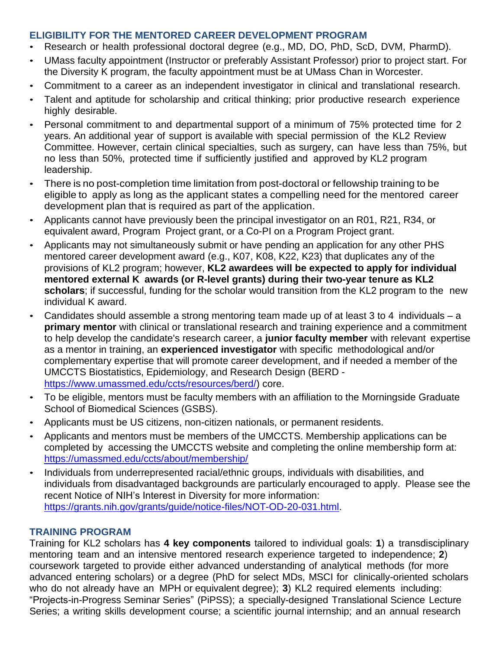## **ELIGIBILITY FOR THE MENTORED CAREER DEVELOPMENT PROGRAM**

- Research or health professional doctoral degree (e.g., MD, DO, PhD, ScD, DVM, PharmD).
- UMass faculty appointment (Instructor or preferably Assistant Professor) prior to project start. For the Diversity K program, the faculty appointment must be at UMass Chan in Worcester.
- Commitment to a career as an independent investigator in clinical and translational research.
- Talent and aptitude for scholarship and critical thinking; prior productive research experience highly desirable.
- Personal commitment to and departmental support of a minimum of 75% protected time for 2 years. An additional year of support is available with special permission of the KL2 Review Committee. However, certain clinical specialties, such as surgery, can have less than 75%, but no less than 50%, protected time if sufficiently justified and approved by KL2 program leadership.
- There is no post-completion time limitation from post-doctoral or fellowship training to be eligible to apply as long as the applicant states a compelling need for the mentored career development plan that is required as part of the application.
- Applicants cannot have previously been the principal investigator on an R01, R21, R34, or equivalent award, Program Project grant, or a Co-PI on a Program Project grant.
- Applicants may not simultaneously submit or have pending an application for any other PHS mentored career development award (e.g., K07, K08, K22, K23) that duplicates any of the provisions of KL2 program; however, **KL2 awardees will be expected to apply for individual mentored external K awards (or R-level grants) during their two-year tenure as KL2 scholars**; if successful, funding for the scholar would transition from the KL2 program to the new individual K award.
- Candidates should assemble a strong mentoring team made up of at least 3 to 4 individuals a **primary mentor** with clinical or translational research and training experience and a commitment to help develop the candidate's research career, a **junior faculty member** with relevant expertise as a mentor in training, an **experienced investigator** with specific methodological and/or complementary expertise that will promote career development, and if needed a member of the UMCCTS Biostatistics, Epidemiology, and Research Design (BERD [https://www.umassmed.edu/ccts/resources/berd/\)](https://www.umassmed.edu/ccts/resources/berd/) core.
- To be eligible, mentors must be faculty members with an affiliation to the Morningside Graduate School of Biomedical Sciences (GSBS).
- Applicants must be US citizens, non-citizen nationals, or permanent residents.
- Applicants and mentors must be members of the UMCCTS. Membership applications can be completed by accessing the UMCCTS website and completing the online membership form at: https://umassmed.edu/ccts/about/membership/
- Individuals from underrepresented racial/ethnic groups, individuals with disabilities, and individuals from disadvantaged backgrounds are particularly encouraged to apply. Please see the recent Notice of NIH's Interest in Diversity for more information: [https://grants.nih.gov/grants/guide/notice-files/NOT-OD-20-031.html.](https://grants.nih.gov/grants/guide/notice-files/NOT-OD-20-031.html)

### **TRAINING PROGRAM**

Training for KL2 scholars has **4 key components** tailored to individual goals: **1**) a transdisciplinary mentoring team and an intensive mentored research experience targeted to independence; **2**) coursework targeted to provide either advanced understanding of analytical methods (for more advanced entering scholars) or a degree (PhD for select MDs, MSCI for clinically-oriented scholars who do not already have an MPH or equivalent degree); **3**) KL2 required elements including: "Projects-in-Progress Seminar Series" (PiPSS); a specially-designed Translational Science Lecture Series; a writing skills development course; a scientific journal internship; and an annual research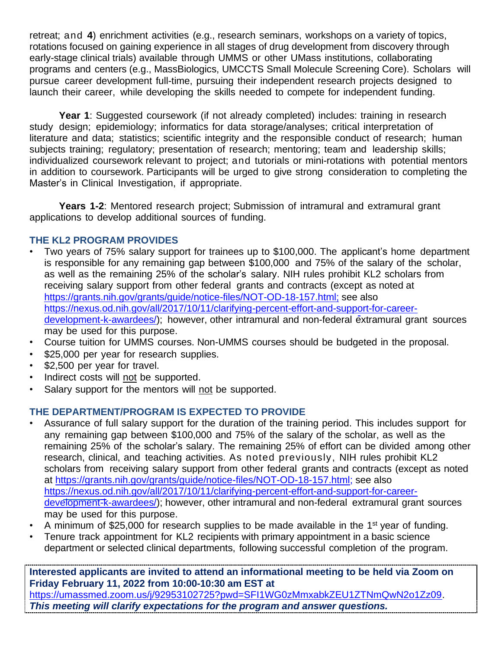retreat; and **4**) enrichment activities (e.g., research seminars, workshops on a variety of topics, rotations focused on gaining experience in all stages of drug development from discovery through early-stage clinical trials) available through UMMS or other UMass institutions, collaborating programs and centers (e.g., MassBiologics, UMCCTS Small Molecule Screening Core). Scholars will pursue career development full-time, pursuing their independent research projects designed to launch their career, while developing the skills needed to compete for independent funding.

**Year 1**: Suggested coursework (if not already completed) includes: training in research study design; epidemiology; informatics for data storage/analyses; critical interpretation of literature and data; statistics; scientific integrity and the responsible conduct of research; human subjects training; regulatory; presentation of research; mentoring; team and leadership skills; individualized coursework relevant to project; and tutorials or mini-rotations with potential mentors in addition to coursework. Participants will be urged to give strong consideration to completing the Master's in Clinical Investigation, if appropriate.

**Years 1-2**: Mentored research project; Submission of intramural and extramural grant applications to develop additional sources of funding.

# **THE KL2 PROGRAM PROVIDES**

- Two years of 75% salary support for trainees up to \$100,000. The applicant's home department is responsible for any remaining gap between \$100,000 and 75% of the salary of the scholar, as well as the remaining 25% of the scholar's salary. NIH rules prohibit KL2 scholars from receiving salary support from other federal grants and contracts (except as noted at [https://grants.nih.gov/grants/guide/notice-files/NOT-OD-18-157.html;](https://grants.nih.gov/grants/guide/notice-files/NOT-OD-18-157.html) see also [https://nexus.od.nih.gov/all/2017/10/11/clarifying-percent-effort-and-support-for-career](https://nexus.od.nih.gov/all/2017/10/11/clarifying-percent-effort-and-support-for-career-development-k-awardees/)[development-k-awardees/\)](https://nexus.od.nih.gov/all/2017/10/11/clarifying-percent-effort-and-support-for-career-development-k-awardees/); however, other intramural and non-federal extramural grant sources may be used for this purpose.
- Course tuition for UMMS courses. Non-UMMS courses should be budgeted in the proposal.
- \$25,000 per year for research supplies.
- \$2,500 per year for travel.
- Indirect costs will not be supported.
- Salary support for the mentors will not be supported.

# **THE DEPARTMENT/PROGRAM IS EXPECTED TO PROVIDE**

- Assurance of full salary support for the duration of the training period. This includes support for any remaining gap between \$100,000 and 75% of the salary of the scholar, as well as the remaining 25% of the scholar's salary. The remaining 25% of effort can be divided among other research, clinical, and teaching activities. As noted previously, NIH rules prohibit KL2 scholars from receiving salary support from other federal grants and contracts (except as noted at [https://grants.nih.gov/grants/guide/notice-files/NOT-OD-18-157.html;](https://grants.nih.gov/grants/guide/notice-files/NOT-OD-18-157.html) see also [https://nexus.od.nih.gov/all/2017/10/11/clarifying-percent-effort-and-support-for-career](https://nexus.od.nih.gov/all/2017/10/11/clarifying-percent-effort-and-support-for-career-development-k-awardees/)[development-k-awardees/\)](https://nexus.od.nih.gov/all/2017/10/11/clarifying-percent-effort-and-support-for-career-development-k-awardees/); however, other intramural and non-federal extramural grant sources may be used for this purpose.
- A minimum of \$25,000 for research supplies to be made available in the 1<sup>st</sup> year of funding.
- Tenure track appointment for KL2 recipients with primary appointment in a basic science department or selected clinical departments, following successful completion of the program.

**Interested applicants are invited to attend an informational meeting to be held via Zoom on Friday February 11, 2022 from 10:00-10:30 am EST at** [https://umassmed.zoom.us/j/92953102725?pwd=SFI1WG0zMmxabkZEU1ZTNmQwN2o1Zz09.](https://umassmed.zoom.us/j/92953102725?pwd=SFI1WG0zMmxabkZEU1ZTNmQwN2o1Zz09) *This meeting will clarify expectations for the program and answer questions.*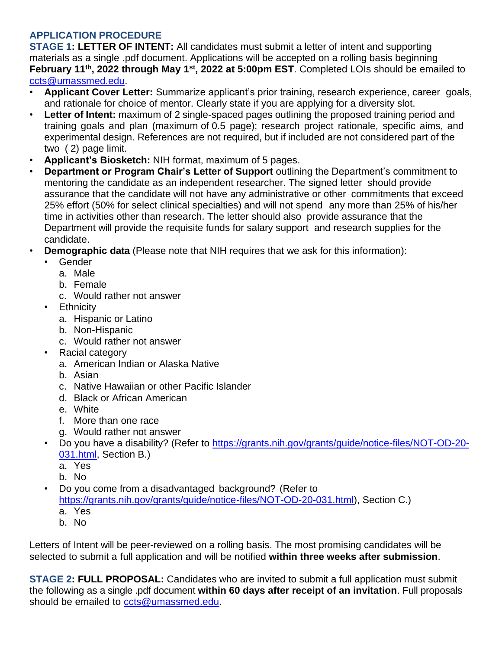# **APPLICATION PROCEDURE**

**STAGE 1: LETTER OF INTENT:** All candidates must submit a letter of intent and supporting materials as a single .pdf document. Applications will be accepted on a rolling basis beginning **February 11th, 2022 through May 1 st, 2022 at 5:00pm EST**. Completed LOIs should be emailed to [ccts@umassmed.edu.](mailto:ccts@umassmed.edu)

- **Applicant Cover Letter:** Summarize applicant's prior training, research experience, career goals, and rationale for choice of mentor. Clearly state if you are applying for a diversity slot.
- **Letter of Intent:** maximum of 2 single-spaced pages outlining the proposed training period and training goals and plan (maximum of 0.5 page); research project rationale, specific aims, and experimental design. References are not required, but if included are not considered part of the two ( 2) page limit.
- **Applicant's Biosketch:** NIH format, maximum of 5 pages.
- **Department or Program Chair's Letter of Support** outlining the Department's commitment to mentoring the candidate as an independent researcher. The signed letter should provide assurance that the candidate will not have any administrative or other commitments that exceed 25% effort (50% for select clinical specialties) and will not spend any more than 25% of his/her time in activities other than research. The letter should also provide assurance that the Department will provide the requisite funds for salary support and research supplies for the candidate.
- **Demographic data** (Please note that NIH requires that we ask for this information):
	- Gender
		- a. Male
		- b. Female
		- c. Would rather not answer
	- Ethnicity
		- a. Hispanic or Latino
		- b. Non-Hispanic
		- c. Would rather not answer
	- Racial category
		- a. American Indian or Alaska Native
		- b. Asian
		- c. Native Hawaiian or other Pacific Islander
		- d. Black or African American
		- e. White
		- f. More than one race
		- g. Would rather not answer
	- Do you have a disability? (Refer to [https://grants.nih.gov/grants/guide/notice-files/NOT-OD-20-](https://grants.nih.gov/grants/guide/notice-files/NOT-OD-20-031.html) [031.html,](https://grants.nih.gov/grants/guide/notice-files/NOT-OD-20-031.html) Section B.)
		- a. Yes
		- b. No
	- Do you come from a disadvantaged background? (Refer to [https://grants.nih.gov/grants/guide/notice-files/NOT-OD-20-031.html\)](https://grants.nih.gov/grants/guide/notice-files/NOT-OD-20-031.html), Section C.) a. Yes
		- b. No

Letters of Intent will be peer-reviewed on a rolling basis. The most promising candidates will be selected to submit a full application and will be notified **within three weeks after submission**.

**STAGE 2: FULL PROPOSAL:** Candidates who are invited to submit a full application must submit the following as a single .pdf document **within 60 days after receipt of an invitation**. Full proposals should be emailed to [ccts@umassmed.edu.](mailto:ccts@umassmed.edu)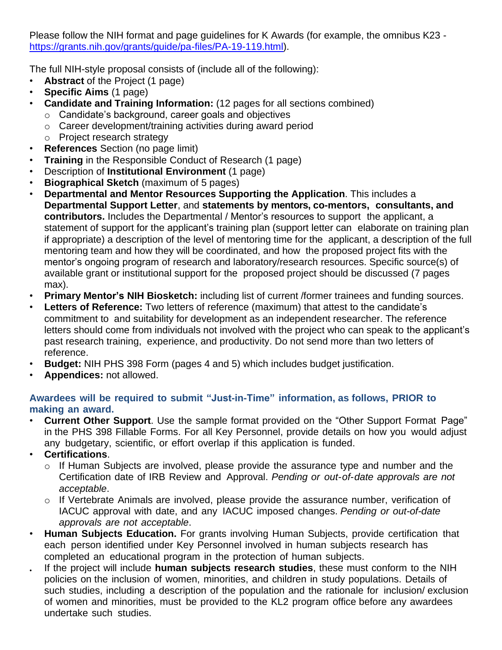Please follow the NIH format and page guidelines for K Awards (for example, the omnibus K23 <https://grants.nih.gov/grants/guide/pa-files/PA-19-119.html>[\).](http://grants1.nih.gov/grants/guide/pa-files/PA-11-194.html))

The full NIH-style proposal consists of (include all of the following):

- **Abstract** of the Project (1 page)
- **Specific Aims** (1 page)
- **Candidate and Training Information:** (12 pages for all sections combined)
	- o Candidate's background, career goals and objectives
	- o Career development/training activities during award period
	- o Project research strategy
- **References** Section (no page limit)
- **Training** in the Responsible Conduct of Research (1 page)
- Description of **Institutional Environment** (1 page)
- **Biographical Sketch** (maximum of 5 pages)
- **Departmental and Mentor Resources Supporting the Application**. This includes a **Departmental Support Letter**, and **statements by mentors, co-mentors, consultants, and contributors.** Includes the Departmental / Mentor's resources to support the applicant, a statement of support for the applicant's training plan (support letter can elaborate on training plan if appropriate) a description of the level of mentoring time for the applicant, a description of the full mentoring team and how they will be coordinated, and how the proposed project fits with the mentor's ongoing program of research and laboratory/research resources. Specific source(s) of available grant or institutional support for the proposed project should be discussed (7 pages max).
- **Primary Mentor's NIH Biosketch:** including list of current /former trainees and funding sources.
- **Letters of Reference:** Two letters of reference (maximum) that attest to the candidate's commitment to and suitability for development as an independent researcher. The reference letters should come from individuals not involved with the project who can speak to the applicant's past research training, experience, and productivity. Do not send more than two letters of reference.
- **Budget:** NIH PHS 398 Form (pages 4 and 5) which includes budget justification.
- **Appendices:** not allowed.

## **Awardees will be required to submit "Just-in-Time" information, as follows, PRIOR to making an award.**

- **Current Other Support**. Use the sample format provided on the "Other Support Format Page" in the PHS 398 Fillable Forms. For all Key Personnel, provide details on how you would adjust any budgetary, scientific, or effort overlap if this application is funded.
- **Certifications**.

•

- o If Human Subjects are involved, please provide the assurance type and number and the Certification date of IRB Review and Approval. *Pending or out-of-date approvals are not acceptable*.
- o If Vertebrate Animals are involved, please provide the assurance number, verification of IACUC approval with date, and any IACUC imposed changes. *Pending or out-of-date approvals are not acceptable*.
- **Human Subjects Education.** For grants involving Human Subjects, provide certification that each person identified under Key Personnel involved in human subjects research has completed an educational program in the protection of human subjects.
- If the project will include **human subjects research studies**, these must conform to the NIH policies on the inclusion of women, minorities, and children in study populations. Details of such studies, including a description of the population and the rationale for inclusion/ exclusion of women and minorities, must be provided to the KL2 program office before any awardees undertake such studies.